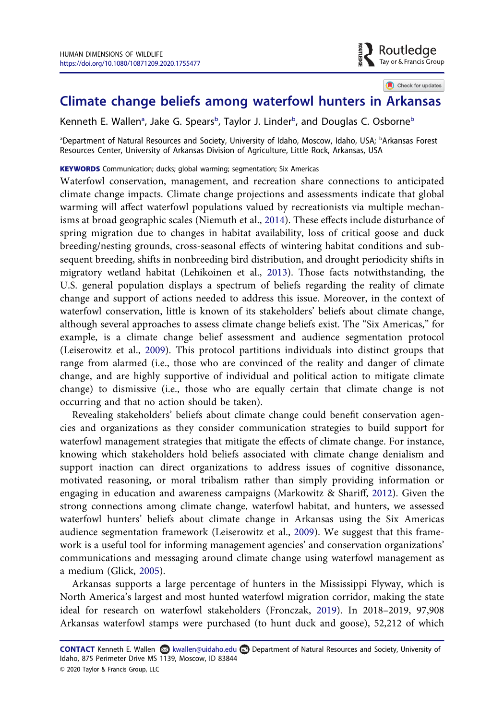Routledge Taylor & Francis Group

Check for updates

Kenneth E. Wallen<sup>a</sup>, Jake G. Spears<sup>b</sup>, Taylor J. Linder<sup>b</sup>, and Douglas C. O[sb](#page-0-0)orne<sup>[b](#page-0-0)</sup>

<span id="page-0-0"></span><sup>a</sup>Department of Natural Resources and Society, University of Idaho, Moscow, Idaho, USA; <sup>b</sup>Arkansas Forest Resources Center, University of Arkansas Division of Agriculture, Little Rock, Arkansas, USA

KEYWORDS Communication; ducks; global warming; segmentation; Six Americas

<span id="page-0-6"></span><span id="page-0-3"></span>Waterfowl conservation, management, and recreation share connections to anticipated climate change impacts. Climate change projections and assessments indicate that global warming will affect waterfowl populations valued by recreationists via multiple mechanisms at broad geographic scales (Niemuth et al., [2014\)](#page-3-0). These effects include disturbance of spring migration due to changes in habitat availability, loss of critical goose and duck breeding/nesting grounds, cross-seasonal effects of wintering habitat conditions and subsequent breeding, shifts in nonbreeding bird distribution, and drought periodicity shifts in migratory wetland habitat (Lehikoinen et al., [2013](#page-3-1)). Those facts notwithstanding, the U.S. general population displays a spectrum of beliefs regarding the reality of climate change and support of actions needed to address this issue. Moreover, in the context of waterfowl conservation, little is known of its stakeholders' beliefs about climate change, although several approaches to assess climate change beliefs exist. The "Six Americas," for example, is a climate change belief assessment and audience segmentation protocol (Leiserowitz et al., [2009](#page-3-2)). This protocol partitions individuals into distinct groups that range from alarmed (i.e., those who are convinced of the reality and danger of climate change, and are highly supportive of individual and political action to mitigate climate change) to dismissive (i.e., those who are equally certain that climate change is not occurring and that no action should be taken).

<span id="page-0-5"></span>Revealing stakeholders' beliefs about climate change could benefit conservation agencies and organizations as they consider communication strategies to build support for waterfowl management strategies that mitigate the effects of climate change. For instance, knowing which stakeholders hold beliefs associated with climate change denialism and support inaction can direct organizations to address issues of cognitive dissonance, motivated reasoning, or moral tribalism rather than simply providing information or engaging in education and awareness campaigns (Markowitz & Shariff, [2012](#page-3-3)). Given the strong connections among climate change, waterfowl habitat, and hunters, we assessed waterfowl hunters' beliefs about climate change in Arkansas using the Six Americas audience segmentation framework (Leiserowitz et al., [2009](#page-3-2)). We suggest that this framework is a useful tool for informing management agencies' and conservation organizations' communications and messaging around climate change using waterfowl management as a medium (Glick, [2005](#page-3-4)).

<span id="page-0-4"></span><span id="page-0-2"></span><span id="page-0-1"></span>Arkansas supports a large percentage of hunters in the Mississippi Flyway, which is North America's largest and most hunted waterfowl migration corridor, making the state ideal for research on waterfowl stakeholders (Fronczak, [2019\)](#page-3-5). In 2018–2019, 97,908 Arkansas waterfowl stamps were purchased (to hunt duck and goose), 52,212 of which

<sup>© 2020</sup> Taylor & Francis Group, LLC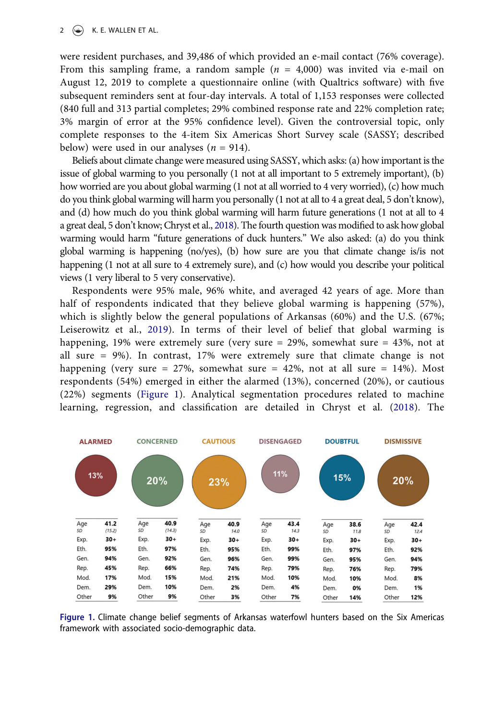were resident purchases, and 39,486 of which provided an e-mail contact (76% coverage). From this sampling frame, a random sample  $(n = 4,000)$  was invited via e-mail on August 12, 2019 to complete a questionnaire online (with Qualtrics software) with five subsequent reminders sent at four-day intervals. A total of 1,153 responses were collected (840 full and 313 partial completes; 29% combined response rate and 22% completion rate; 3% margin of error at the 95% confidence level). Given the controversial topic, only complete responses to the 4-item Six Americas Short Survey scale (SASSY; described below) were used in our analyses ( $n = 914$ ).

Beliefs about climate change were measured using SASSY, which asks: (a) how important is the issue of global warming to you personally (1 not at all important to 5 extremely important), (b) how worried are you about global warming (1 not at all worried to 4 very worried), (c) how much do you think global warming will harm you personally (1 not at all to 4 a great deal, 5 don't know), and (d) how much do you think global warming will harm future generations (1 not at all to 4 a great deal, 5 don't know; Chryst et al., [2018](#page-3-6)). The fourth question was modified to ask how global warming would harm "future generations of duck hunters." We also asked: (a) do you think global warming is happening (no/yes), (b) how sure are you that climate change is/is not happening (1 not at all sure to 4 extremely sure), and (c) how would you describe your political views (1 very liberal to 5 very conservative).

<span id="page-1-2"></span>Respondents were 95% male, 96% white, and averaged 42 years of age. More than half of respondents indicated that they believe global warming is happening (57%), which is slightly below the general populations of Arkansas (60%) and the U.S. (67%; Leiserowitz et al., [2019](#page-3-7)). In terms of their level of belief that global warming is happening, 19% were extremely sure (very sure = 29%, somewhat sure = 43%, not at all sure = 9%). In contrast, 17% were extremely sure that climate change is not happening (very sure = 27%, somewhat sure = 42%, not at all sure = 14%). Most respondents (54%) emerged in either the alarmed (13%), concerned (20%), or cautious (22%) segments ([Figure 1](#page-1-0)). Analytical segmentation procedures related to machine learning, regression, and classification are detailed in Chryst et al. ([2018](#page-3-6)). The

<span id="page-1-1"></span>

<span id="page-1-0"></span>Figure 1. Climate change belief segments of Arkansas waterfowl hunters based on the Six Americas framework with associated socio-demographic data.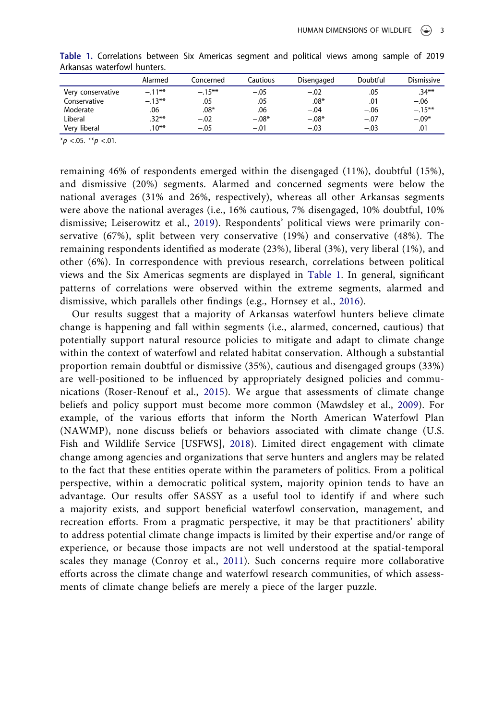|                   | Alarmed   | Concerned | Cautious | Disengaged | Doubtful | Dismissive |
|-------------------|-----------|-----------|----------|------------|----------|------------|
| Very conservative | $-11***$  | $-.15***$ | $-.05$   | $-.02$     | .05      | $.34***$   |
| Conservative      | $-.13***$ | .05       | .05      | $.08*$     | .01      | $-.06$     |
| Moderate          | .06       | $.08*$    | .06      | $-.04$     | $-.06$   | $-.15***$  |
| Liberal           | $.32***$  | $-.02$    | $-.08*$  | $-.08*$    | $-.07$   | $-.09*$    |
| Very liberal      | $.10***$  | $-.05$    | $-.01$   | $-.03$     | $-.03$   | .01        |

<span id="page-2-0"></span>Table 1. Correlations between Six Americas segment and political views among sample of 2019 Arkansas waterfowl hunters.

 $*_{p}$  <.05.  $*_{p}$  <.01.

remaining 46% of respondents emerged within the disengaged (11%), doubtful (15%), and dismissive (20%) segments. Alarmed and concerned segments were below the national averages (31% and 26%, respectively), whereas all other Arkansas segments were above the national averages (i.e., 16% cautious, 7% disengaged, 10% doubtful, 10% dismissive; Leiserowitz et al., [2019\)](#page-3-7). Respondents' political views were primarily conservative (67%), split between very conservative (19%) and conservative (48%). The remaining respondents identified as moderate (23%), liberal (3%), very liberal (1%), and other (6%). In correspondence with previous research, correlations between political views and the Six Americas segments are displayed in [Table 1](#page-2-0). In general, significant patterns of correlations were observed within the extreme segments, alarmed and dismissive, which parallels other findings (e.g., Hornsey et al., [2016\)](#page-3-8).

<span id="page-2-5"></span><span id="page-2-4"></span><span id="page-2-3"></span><span id="page-2-2"></span><span id="page-2-1"></span>Our results suggest that a majority of Arkansas waterfowl hunters believe climate change is happening and fall within segments (i.e., alarmed, concerned, cautious) that potentially support natural resource policies to mitigate and adapt to climate change within the context of waterfowl and related habitat conservation. Although a substantial proportion remain doubtful or dismissive (35%), cautious and disengaged groups (33%) are well-positioned to be influenced by appropriately designed policies and communications (Roser-Renouf et al., [2015](#page-3-9)). We argue that assessments of climate change beliefs and policy support must become more common (Mawdsley et al., [2009](#page-3-10)). For example, of the various efforts that inform the North American Waterfowl Plan (NAWMP), none discuss beliefs or behaviors associated with climate change (U.S. Fish and Wildlife Service [USFWS], [2018\)](#page-3-11). Limited direct engagement with climate change among agencies and organizations that serve hunters and anglers may be related to the fact that these entities operate within the parameters of politics. From a political perspective, within a democratic political system, majority opinion tends to have an advantage. Our results offer SASSY as a useful tool to identify if and where such a majority exists, and support beneficial waterfowl conservation, management, and recreation efforts. From a pragmatic perspective, it may be that practitioners' ability to address potential climate change impacts is limited by their expertise and/or range of experience, or because those impacts are not well understood at the spatial-temporal scales they manage (Conroy et al., [2011\)](#page-3-12). Such concerns require more collaborative efforts across the climate change and waterfowl research communities, of which assessments of climate change beliefs are merely a piece of the larger puzzle.